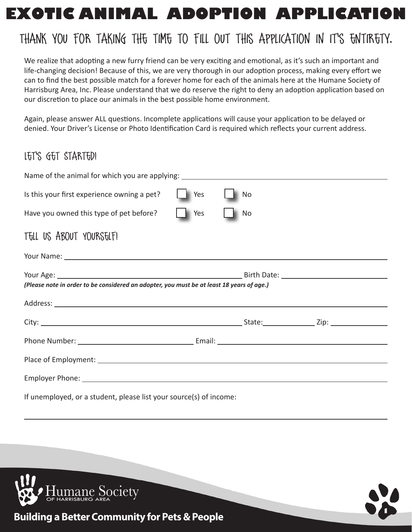# **EXOTIC ANIMAL ADOPTION APPLICATION**

# Thank you for taking the time to fill out this application in it's entirety.

We realize that adopting a new furry friend can be very exciting and emotional, as it's such an important and life-changing decision! Because of this, we are very thorough in our adoption process, making every effort we can to find the best possible match for a forever home for each of the animals here at the Humane Society of Harrisburg Area, Inc. Please understand that we do reserve the right to deny an adoption application based on our discretion to place our animals in the best possible home environment.

Again, please answer ALL questions. Incomplete applications will cause your application to be delayed or denied. Your Driver's License or Photo Identification Card is required which reflects your current address.

## Let's Get Started!

| Is this your first experience owning a pet?                                               | $\Box$ Yes         | $\blacksquare$ No |  |
|-------------------------------------------------------------------------------------------|--------------------|-------------------|--|
| Have you owned this type of pet before?                                                   | $\blacksquare$ Yes | No.               |  |
| TELL US ABOUT YOURSELF!                                                                   |                    |                   |  |
|                                                                                           |                    |                   |  |
|                                                                                           |                    |                   |  |
| (Please note in order to be considered an adopter, you must be at least 18 years of age.) |                    |                   |  |
|                                                                                           |                    |                   |  |
|                                                                                           |                    |                   |  |
|                                                                                           |                    |                   |  |
|                                                                                           |                    |                   |  |
|                                                                                           |                    |                   |  |
| If unemployed, or a student, please list your source(s) of income:                        |                    |                   |  |



 $\overline{a}$ 



**Building a Better Community for Pets & People**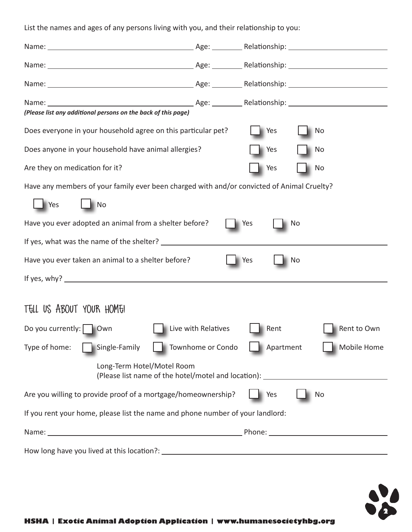List the names and ages of any persons living with you, and their relationship to you:

| (Please list any additional persons on the back of this page)                               |                     |                  |             |
|---------------------------------------------------------------------------------------------|---------------------|------------------|-------------|
| Does everyone in your household agree on this particular pet?                               |                     | Yes<br><b>No</b> |             |
| Does anyone in your household have animal allergies?                                        |                     | Yes<br>No        |             |
| Are they on medication for it?                                                              |                     | Yes<br>No        |             |
| Have any members of your family ever been charged with and/or convicted of Animal Cruelty?  |                     |                  |             |
| Yes<br>$\blacksquare$ No                                                                    |                     |                  |             |
| Have you ever adopted an animal from a shelter before?                                      |                     | Yes<br>No        |             |
|                                                                                             |                     |                  |             |
| Have you ever taken an animal to a shelter before?<br>Yes<br>No                             |                     |                  |             |
|                                                                                             |                     |                  |             |
|                                                                                             |                     |                  |             |
| TELL US ABOUT YOUR HOME!                                                                    |                     |                  |             |
| Do you currently:   Own                                                                     | Live with Relatives | Rent             | Rent to Own |
| Type of home:<br>Single-Family                                                              | Townhome or Condo   | Apartment        | Mobile Home |
| Long-Term Hotel/Motel Room<br>(Please list name of the hotel/motel and location): _________ |                     |                  |             |
| Are you willing to provide proof of a mortgage/homeownership?                               |                     | Yes<br>No        |             |
| If you rent your home, please list the name and phone number of your landlord:              |                     |                  |             |
|                                                                                             |                     |                  |             |
|                                                                                             |                     |                  |             |

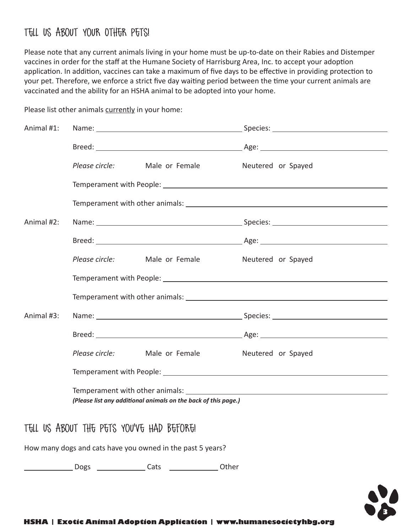## Tell Us About Your Other Pets!

Please note that any current animals living in your home must be up-to-date on their Rabies and Distemper vaccines in order for the staff at the Humane Society of Harrisburg Area, Inc. to accept your adoption application. In addition, vaccines can take a maximum of five days to be effective in providing protection to your pet. Therefore, we enforce a strict five day waiting period between the time your current animals are vaccinated and the ability for an HSHA animal to be adopted into your home.

| Animal #1: |                                                                |  |
|------------|----------------------------------------------------------------|--|
|            |                                                                |  |
|            | Please circle: Male or Female Meutered or Spayed               |  |
|            |                                                                |  |
|            |                                                                |  |
| Animal #2: |                                                                |  |
|            |                                                                |  |
|            | Please circle: Male or Female Meutered or Spayed               |  |
|            |                                                                |  |
|            |                                                                |  |
| Animal #3: |                                                                |  |
|            |                                                                |  |
|            | Please circle: Male or Female Meutered or Spayed               |  |
|            |                                                                |  |
|            | (Please list any additional animals on the back of this page.) |  |
|            |                                                                |  |
|            | THE BO LONGE THE SETA UNIQUE LIAN DECADEL                      |  |

Please list other animals currently in your home:

Tell Us About the Pets You've Had Before!

How many dogs and cats have you owned in the past 5 years?

Dogs Cats Other

**3**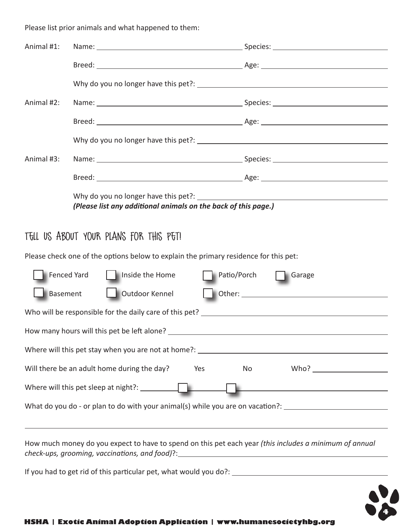Please list prior animals and what happened to them:

| Animal #1:                        |                                                                                                                                                                                            |                                                             |
|-----------------------------------|--------------------------------------------------------------------------------------------------------------------------------------------------------------------------------------------|-------------------------------------------------------------|
|                                   |                                                                                                                                                                                            |                                                             |
|                                   |                                                                                                                                                                                            |                                                             |
| Animal #2:                        |                                                                                                                                                                                            |                                                             |
|                                   |                                                                                                                                                                                            |                                                             |
|                                   |                                                                                                                                                                                            |                                                             |
| Animal #3:                        |                                                                                                                                                                                            |                                                             |
|                                   |                                                                                                                                                                                            |                                                             |
|                                   | Why do you no longer have this pet?:                                                                                                                                                       |                                                             |
|                                   | (Please list any additional animals on the back of this page.)                                                                                                                             |                                                             |
|                                   | TELL US ABOUT YOUR PLANS FOR THIS PET!                                                                                                                                                     |                                                             |
|                                   | Please check one of the options below to explain the primary residence for this pet:                                                                                                       |                                                             |
| Fenced Yard                       | Inside the Home                                                                                                                                                                            | Patio/Porch Garage                                          |
| Outdoor Kennel<br><b>Basement</b> |                                                                                                                                                                                            |                                                             |
|                                   |                                                                                                                                                                                            |                                                             |
|                                   |                                                                                                                                                                                            |                                                             |
|                                   |                                                                                                                                                                                            |                                                             |
|                                   | Will there be an adult home during the day?<br>Yes                                                                                                                                         | No                                                          |
|                                   | Where will this pet sleep at night?: __________                                                                                                                                            | <u> 1989 - Johann Stoff, amerikansk politiker (d. 1989)</u> |
|                                   | What do you do - or plan to do with your animal(s) while you are on vacation?: ______________________________                                                                              |                                                             |
|                                   | ,我们也不会有什么。""我们的人,我们也不会有什么?""我们的人,我们也不会有什么?""我们的人,我们也不会有什么?""我们的人,我们也不会有什么?""我们的人                                                                                                           |                                                             |
|                                   | How much money do you expect to have to spend on this pet each year (this includes a minimum of annual<br>check-ups, grooming, vaccinations, and food)?:__________________________________ |                                                             |

If you had to get rid of this particular pet, what would you do?:

**4**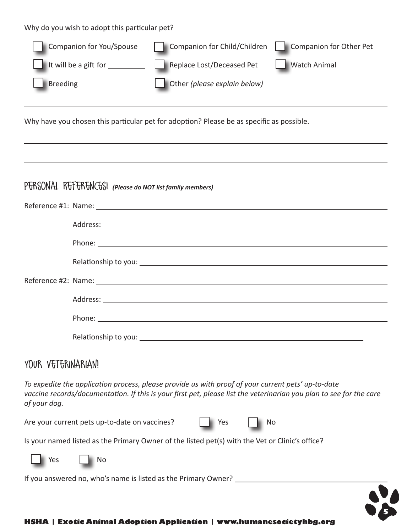Why do you wish to adopt this particular pet?

 $\overline{a}$ 

| Companion for You/Spouse                   | Companion for Child/Children | Companion for Other Pet |
|--------------------------------------------|------------------------------|-------------------------|
| It will be a gift for $\frac{1}{\sqrt{2}}$ | Replace Lost/Deceased Pet    | <b>Watch Animal</b>     |
| Breeding                                   | Other (please explain below) |                         |

Why have you chosen this particular pet for adoption? Please be as specific as possible.

### P $F$ RSONAL R $F$ F $F$ R $F$ N $C$ FS! (Please do NOT list family members)

#### YOUR VETERINARIAN!

*To expedite the application process, please provide us with proof of your current pets' up-to-date*  vaccine records/documentation. If this is your first pet, please list the veterinarian you plan to see for the care *of your dog.*

Are your current pets up-to-date on vaccines? | | Yes | No

**5**

Is your named listed as the Primary Owner of the listed pet(s) with the Vet or Clinic's office?



If you answered no, who's name is listed as the Primary Owner? \_\_\_\_\_\_\_\_\_\_\_\_\_\_\_\_\_